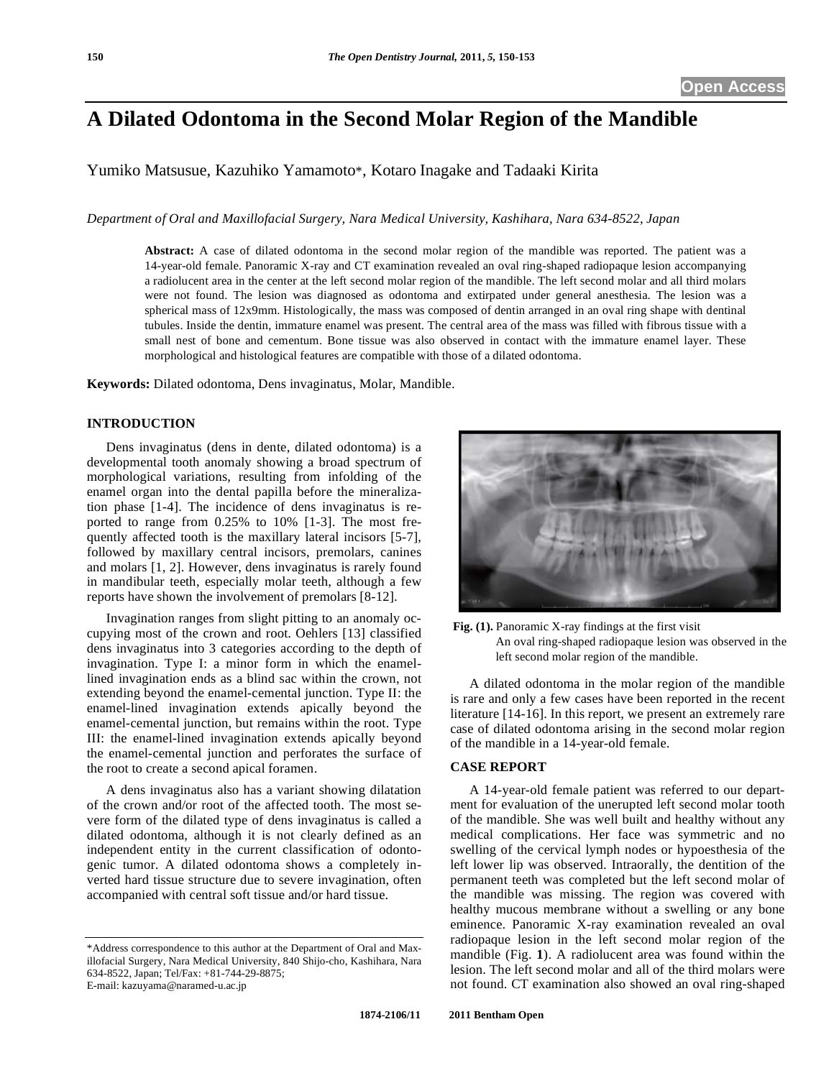# **A Dilated Odontoma in the Second Molar Region of the Mandible**

Yumiko Matsusue, Kazuhiko Yamamoto\*, Kotaro Inagake and Tadaaki Kirita

*Department of Oral and Maxillofacial Surgery, Nara Medical University, Kashihara, Nara 634-8522, Japan* 

**Abstract:** A case of dilated odontoma in the second molar region of the mandible was reported. The patient was a 14-year-old female. Panoramic X-ray and CT examination revealed an oval ring-shaped radiopaque lesion accompanying a radiolucent area in the center at the left second molar region of the mandible. The left second molar and all third molars were not found. The lesion was diagnosed as odontoma and extirpated under general anesthesia. The lesion was a spherical mass of 12x9mm. Histologically, the mass was composed of dentin arranged in an oval ring shape with dentinal tubules. Inside the dentin, immature enamel was present. The central area of the mass was filled with fibrous tissue with a small nest of bone and cementum. Bone tissue was also observed in contact with the immature enamel layer. These morphological and histological features are compatible with those of a dilated odontoma.

**Keywords:** Dilated odontoma, Dens invaginatus, Molar, Mandible.

#### **INTRODUCTION**

Dens invaginatus (dens in dente, dilated odontoma) is a developmental tooth anomaly showing a broad spectrum of morphological variations, resulting from infolding of the enamel organ into the dental papilla before the mineralization phase [1-4]. The incidence of dens invaginatus is reported to range from 0.25% to 10% [1-3]. The most frequently affected tooth is the maxillary lateral incisors [5-7], followed by maxillary central incisors, premolars, canines and molars [1, 2]. However, dens invaginatus is rarely found in mandibular teeth, especially molar teeth, although a few reports have shown the involvement of premolars [8-12].

Invagination ranges from slight pitting to an anomaly occupying most of the crown and root. Oehlers [13] classified dens invaginatus into 3 categories according to the depth of invagination. Type I: a minor form in which the enamellined invagination ends as a blind sac within the crown, not extending beyond the enamel-cemental junction. Type II: the enamel-lined invagination extends apically beyond the enamel-cemental junction, but remains within the root. Type III: the enamel-lined invagination extends apically beyond the enamel-cemental junction and perforates the surface of the root to create a second apical foramen.

A dens invaginatus also has a variant showing dilatation of the crown and/or root of the affected tooth. The most severe form of the dilated type of dens invaginatus is called a dilated odontoma, although it is not clearly defined as an independent entity in the current classification of odontogenic tumor. A dilated odontoma shows a completely inverted hard tissue structure due to severe invagination, often accompanied with central soft tissue and/or hard tissue.



**Fig. (1).** Panoramic X-ray findings at the first visit

 An oval ring-shaped radiopaque lesion was observed in the left second molar region of the mandible.

A dilated odontoma in the molar region of the mandible is rare and only a few cases have been reported in the recent literature [14-16]. In this report, we present an extremely rare case of dilated odontoma arising in the second molar region of the mandible in a 14-year-old female.

### **CASE REPORT**

A 14-year-old female patient was referred to our department for evaluation of the unerupted left second molar tooth of the mandible. She was well built and healthy without any medical complications. Her face was symmetric and no swelling of the cervical lymph nodes or hypoesthesia of the left lower lip was observed. Intraorally, the dentition of the permanent teeth was completed but the left second molar of the mandible was missing. The region was covered with healthy mucous membrane without a swelling or any bone eminence. Panoramic X-ray examination revealed an oval radiopaque lesion in the left second molar region of the mandible (Fig. **1**). A radiolucent area was found within the lesion. The left second molar and all of the third molars were not found. CT examination also showed an oval ring-shaped

<sup>\*</sup>Address correspondence to this author at the Department of Oral and Maxillofacial Surgery, Nara Medical University, 840 Shijo-cho, Kashihara, Nara 634-8522, Japan; Tel/Fax: +81-744-29-8875; E-mail: kazuyama@naramed-u.ac.jp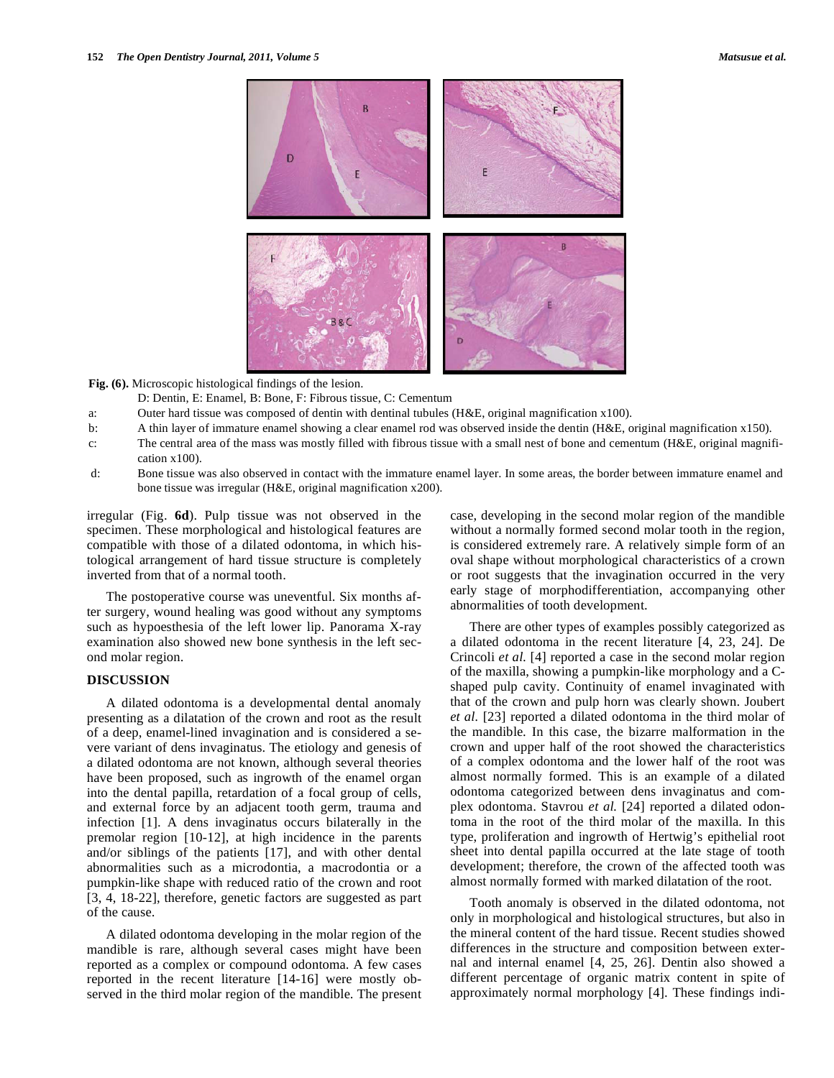**Fig. (6).** Microscopic histological findings of the lesion.

- D: Dentin, E: Enamel, B: Bone, F: Fibrous tissue, C: Cementum
- a: Outer hard tissue was composed of dentin with dentinal tubules (H&E, original magnification x100).
- b: A thin layer of immature enamel showing a clear enamel rod was observed inside the dentin (H&E, original magnification x150).
- c: The central area of the mass was mostly filled with fibrous tissue with a small nest of bone and cementum (H&E, original magnification x100).
- d: Bone tissue was also observed in contact with the immature enamel layer. In some areas, the border between immature enamel and bone tissue was irregular (H&E, original magnification x200).

irregular (Fig. **6d**). Pulp tissue was not observed in the specimen. These morphological and histological features are compatible with those of a dilated odontoma, in which histological arrangement of hard tissue structure is completely inverted from that of a normal tooth.

The postoperative course was uneventful. Six months after surgery, wound healing was good without any symptoms such as hypoesthesia of the left lower lip. Panorama X-ray examination also showed new bone synthesis in the left second molar region.

## **DISCUSSION**

A dilated odontoma is a developmental dental anomaly presenting as a dilatation of the crown and root as the result of a deep, enamel-lined invagination and is considered a severe variant of dens invaginatus. The etiology and genesis of a dilated odontoma are not known, although several theories have been proposed, such as ingrowth of the enamel organ into the dental papilla, retardation of a focal group of cells, and external force by an adjacent tooth germ, trauma and infection [1]. A dens invaginatus occurs bilaterally in the premolar region [10-12], at high incidence in the parents and/or siblings of the patients [17], and with other dental abnormalities such as a microdontia, a macrodontia or a pumpkin-like shape with reduced ratio of the crown and root [3, 4, 18-22], therefore, genetic factors are suggested as part of the cause.

A dilated odontoma developing in the molar region of the mandible is rare, although several cases might have been reported as a complex or compound odontoma. A few cases reported in the recent literature [14-16] were mostly observed in the third molar region of the mandible. The present case, developing in the second molar region of the mandible without a normally formed second molar tooth in the region, is considered extremely rare. A relatively simple form of an oval shape without morphological characteristics of a crown or root suggests that the invagination occurred in the very early stage of morphodifferentiation, accompanying other abnormalities of tooth development.

There are other types of examples possibly categorized as a dilated odontoma in the recent literature [4, 23, 24]. De Crincoli *et al.* [4] reported a case in the second molar region of the maxilla, showing a pumpkin-like morphology and a Cshaped pulp cavity. Continuity of enamel invaginated with that of the crown and pulp horn was clearly shown. Joubert *et al.* [23] reported a dilated odontoma in the third molar of the mandible. In this case, the bizarre malformation in the crown and upper half of the root showed the characteristics of a complex odontoma and the lower half of the root was almost normally formed. This is an example of a dilated odontoma categorized between dens invaginatus and complex odontoma. Stavrou *et al.* [24] reported a dilated odontoma in the root of the third molar of the maxilla. In this type, proliferation and ingrowth of Hertwig's epithelial root sheet into dental papilla occurred at the late stage of tooth development; therefore, the crown of the affected tooth was almost normally formed with marked dilatation of the root.

Tooth anomaly is observed in the dilated odontoma, not only in morphological and histological structures, but also in the mineral content of the hard tissue. Recent studies showed differences in the structure and composition between external and internal enamel [4, 25, 26]. Dentin also showed a different percentage of organic matrix content in spite of approximately normal morphology [4]. These findings indi-